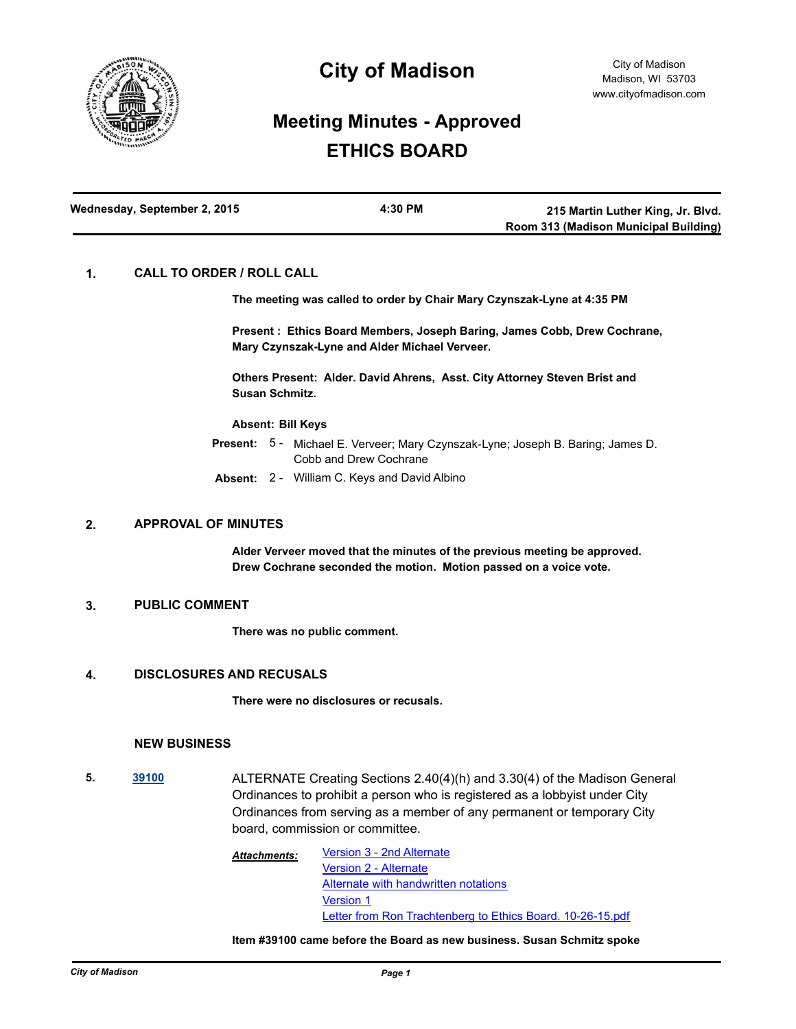

# **City of Madison**

## **Meeting Minutes - Approved ETHICS BOARD**

| Wednesday, September 2, 2015 | 4:30 PM | 215 Martin Luther King, Jr. Blvd.     |
|------------------------------|---------|---------------------------------------|
|                              |         | Room 313 (Madison Municipal Building) |

## **1. CALL TO ORDER / ROLL CALL**

**The meeting was called to order by Chair Mary Czynszak-Lyne at 4:35 PM**

**Present : Ethics Board Members, Joseph Baring, James Cobb, Drew Cochrane, Mary Czynszak-Lyne and Alder Michael Verveer.**

**Others Present: Alder. David Ahrens, Asst. City Attorney Steven Brist and Susan Schmitz.**

#### **Absent: Bill Keys**

- Present: 5 Michael E. Verveer; Mary Czynszak-Lyne; Joseph B. Baring; James D. Cobb and Drew Cochrane
- **Absent:** 2 William C. Keys and David Albino

#### **2. APPROVAL OF MINUTES**

**Alder Verveer moved that the minutes of the previous meeting be approved. Drew Cochrane seconded the motion. Motion passed on a voice vote.**

#### **3. PUBLIC COMMENT**

**There was no public comment.**

#### **4. DISCLOSURES AND RECUSALS**

**There were no disclosures or recusals.**

### **NEW BUSINESS**

**5. [39100](http://madison.legistar.com/gateway.aspx?m=l&id=/matter.aspx?key=41706)** ALTERNATE Creating Sections 2.40(4)(h) and 3.30(4) of the Madison General Ordinances to prohibit a person who is registered as a lobbyist under City Ordinances from serving as a member of any permanent or temporary City board, commission or committee.

> [Version 3 - 2nd Alternate](http://madison.legistar.com/gateway.aspx?M=F&ID=59e9b9c0-2366-46ad-a2cb-8746c5f56aa8.pdf) [Version 2 - Alternate](http://madison.legistar.com/gateway.aspx?M=F&ID=c0c87933-e26a-4b80-90f6-3551d98608fd.pdf) [Alternate with handwritten notations](http://madison.legistar.com/gateway.aspx?M=F&ID=eb6e6016-48e9-42ca-9a1d-715181968390.pdf) [Version 1](http://madison.legistar.com/gateway.aspx?M=F&ID=d0d04ae1-6c76-4363-acc6-9d977d6add73.pdf) [Letter from Ron Trachtenberg to Ethics Board. 10-26-15.pdf](http://madison.legistar.com/gateway.aspx?M=F&ID=fb900814-5353-4eac-a0c5-39a1cbf725ed.pdf) *Attachments:*

#### **Item #39100 came before the Board as new business. Susan Schmitz spoke**